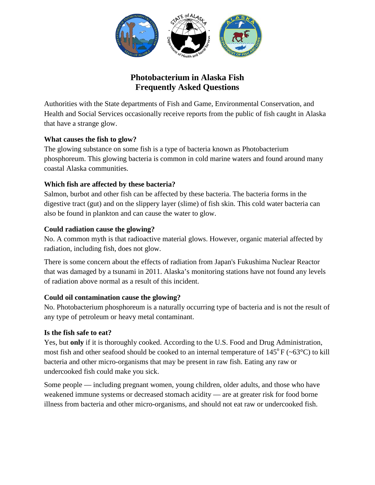

# **Photobacterium in Alaska Fish Frequently Asked Questions**

Authorities with the State departments of Fish and Game, Environmental Conservation, and Health and Social Services occasionally receive reports from the public of fish caught in Alaska that have a strange glow.

# **What causes the fish to glow?**

The glowing substance on some fish is a type of bacteria known as Photobacterium phosphoreum. This glowing bacteria is common in cold marine waters and found around many coastal Alaska communities.

# **Which fish are affected by these bacteria?**

Salmon, burbot and other fish can be affected by these bacteria. The bacteria forms in the digestive tract (gut) and on the slippery layer (slime) of fish skin. This cold water bacteria can also be found in plankton and can cause the water to glow.

## **Could radiation cause the glowing?**

No. A common myth is that radioactive material glows. However, organic material affected by radiation, including fish, does not glow.

There is some concern about the effects of radiation from Japan's Fukushima Nuclear Reactor that was damaged by a tsunami in 2011. Alaska's monitoring stations have not found any levels of radiation above normal as a result of this incident.

# **Could oil contamination cause the glowing?**

No. Photobacterium phosphoreum is a naturally occurring type of bacteria and is not the result of any type of petroleum or heavy metal contaminant.

#### **Is the fish safe to eat?**

Yes, but **only** if it is thoroughly cooked. According to the U.S. Food and Drug Administration, most fish and other seafood should be cooked to an internal temperature of  $145^{\circ}$  F (~63°C) to kill bacteria and other micro-organisms that may be present in raw fish. Eating any raw or undercooked fish could make you sick.

Some people — including pregnant women, young children, older adults, and those who have weakened immune systems or decreased stomach acidity — are at greater risk for food borne illness from bacteria and other micro-organisms, and should not eat raw or undercooked fish.